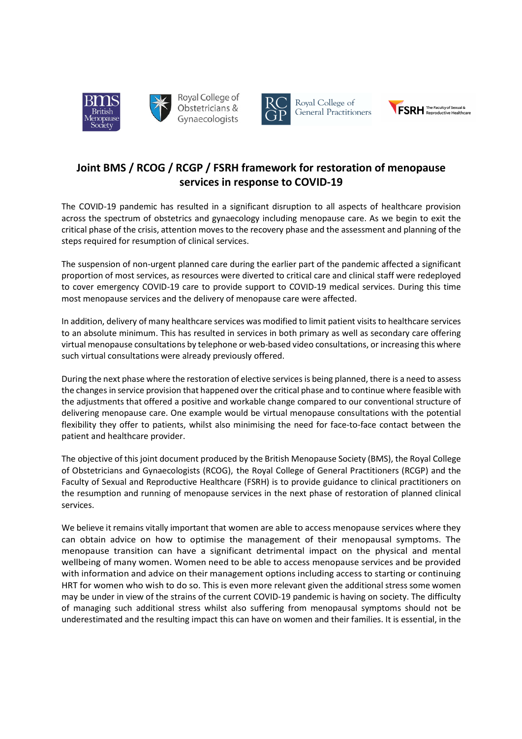



Royal College of Obstetricians & Gynaecologists



Royal College of General Practitioners



# Joint BMS / RCOG / RCGP / FSRH framework for restoration of menopause services in response to COVID-19

The COVID-19 pandemic has resulted in a significant disruption to all aspects of healthcare provision across the spectrum of obstetrics and gynaecology including menopause care. As we begin to exit the critical phase of the crisis, attention moves to the recovery phase and the assessment and planning of the steps required for resumption of clinical services.

The suspension of non-urgent planned care during the earlier part of the pandemic affected a significant proportion of most services, as resources were diverted to critical care and clinical staff were redeployed to cover emergency COVID-19 care to provide support to COVID-19 medical services. During this time most menopause services and the delivery of menopause care were affected.

In addition, delivery of many healthcare services was modified to limit patient visits to healthcare services to an absolute minimum. This has resulted in services in both primary as well as secondary care offering virtual menopause consultations by telephone or web-based video consultations, or increasing this where such virtual consultations were already previously offered.

During the next phase where the restoration of elective services is being planned, there is a need to assess the changes in service provision that happened over the critical phase and to continue where feasible with the adjustments that offered a positive and workable change compared to our conventional structure of delivering menopause care. One example would be virtual menopause consultations with the potential flexibility they offer to patients, whilst also minimising the need for face-to-face contact between the patient and healthcare provider.

 The objective of this joint document produced by the British Menopause Society (BMS), the Royal College of Obstetricians and Gynaecologists (RCOG), the Royal College of General Practitioners (RCGP) and the Faculty of Sexual and Reproductive Healthcare (FSRH) is to provide guidance to clinical practitioners on the resumption and running of menopause services in the next phase of restoration of planned clinical services.

We believe it remains vitally important that women are able to access menopause services where they can obtain advice on how to optimise the management of their menopausal symptoms. The menopause transition can have a significant detrimental impact on the physical and mental wellbeing of many women. Women need to be able to access menopause services and be provided with information and advice on their management options including access to starting or continuing HRT for women who wish to do so. This is even more relevant given the additional stress some women may be under in view of the strains of the current COVID-19 pandemic is having on society. The difficulty of managing such additional stress whilst also suffering from menopausal symptoms should not be underestimated and the resulting impact this can have on women and their families. It is essential, in the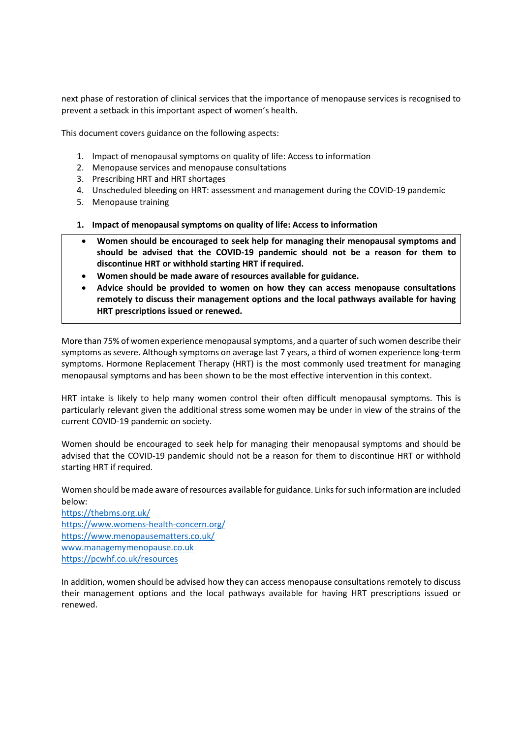next phase of restoration of clinical services that the importance of menopause services is recognised to prevent a setback in this important aspect of women's health.

This document covers guidance on the following aspects:

- 1. Impact of menopausal symptoms on quality of life: Access to information
- 2. Menopause services and menopause consultations
- 3. Prescribing HRT and HRT shortages
- 4. Unscheduled bleeding on HRT: assessment and management during the COVID-19 pandemic
- 5. Menopause training
- 1. Impact of menopausal symptoms on quality of life: Access to information
- Women should be encouraged to seek help for managing their menopausal symptoms and should be advised that the COVID-19 pandemic should not be a reason for them to discontinue HRT or withhold starting HRT if required.
- Women should be made aware of resources available for guidance.
- Advice should be provided to women on how they can access menopause consultations remotely to discuss their management options and the local pathways available for having HRT prescriptions issued or renewed.

More than 75% of women experience menopausal symptoms, and a quarter of such women describe their symptoms as severe. Although symptoms on average last 7 years, a third of women experience long-term symptoms. Hormone Replacement Therapy (HRT) is the most commonly used treatment for managing menopausal symptoms and has been shown to be the most effective intervention in this context.

HRT intake is likely to help many women control their often difficult menopausal symptoms. This is particularly relevant given the additional stress some women may be under in view of the strains of the current COVID-19 pandemic on society.

Women should be encouraged to seek help for managing their menopausal symptoms and should be advised that the COVID-19 pandemic should not be a reason for them to discontinue HRT or withhold starting HRT if required.

Women should be made aware of resources available for guidance. Links for such information are included below:

https://thebms.org.uk/ https://www.womens-health-concern.org/ https://www.menopausematters.co.uk/ www.managemymenopause.co.uk https://pcwhf.co.uk/resources

In addition, women should be advised how they can access menopause consultations remotely to discuss their management options and the local pathways available for having HRT prescriptions issued or renewed.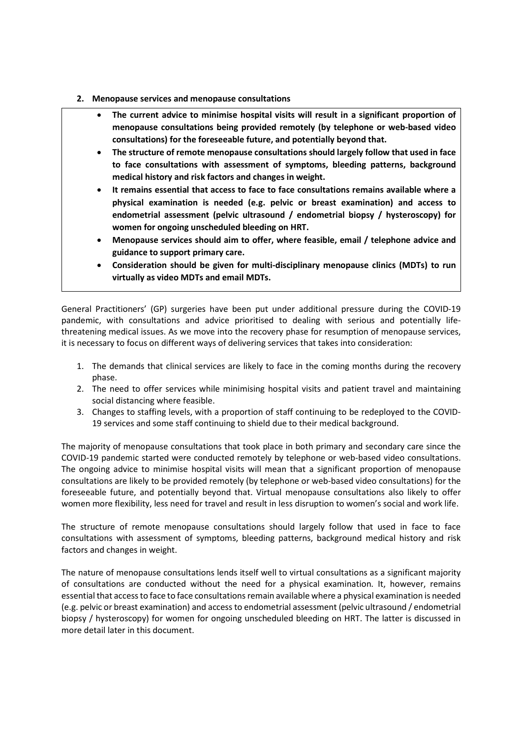- 2. Menopause services and menopause consultations
	- The current advice to minimise hospital visits will result in a significant proportion of menopause consultations being provided remotely (by telephone or web-based video consultations) for the foreseeable future, and potentially beyond that.
	- The structure of remote menopause consultations should largely follow that used in face to face consultations with assessment of symptoms, bleeding patterns, background medical history and risk factors and changes in weight.
	- It remains essential that access to face to face consultations remains available where a physical examination is needed (e.g. pelvic or breast examination) and access to endometrial assessment (pelvic ultrasound / endometrial biopsy / hysteroscopy) for women for ongoing unscheduled bleeding on HRT.
	- Menopause services should aim to offer, where feasible, email / telephone advice and guidance to support primary care.
	- Consideration should be given for multi-disciplinary menopause clinics (MDTs) to run virtually as video MDTs and email MDTs.

General Practitioners' (GP) surgeries have been put under additional pressure during the COVID-19 pandemic, with consultations and advice prioritised to dealing with serious and potentially lifethreatening medical issues. As we move into the recovery phase for resumption of menopause services, it is necessary to focus on different ways of delivering services that takes into consideration:

- 1. The demands that clinical services are likely to face in the coming months during the recovery phase.
- 2. The need to offer services while minimising hospital visits and patient travel and maintaining social distancing where feasible.
- 3. Changes to staffing levels, with a proportion of staff continuing to be redeployed to the COVID-19 services and some staff continuing to shield due to their medical background.

The majority of menopause consultations that took place in both primary and secondary care since the COVID-19 pandemic started were conducted remotely by telephone or web-based video consultations. The ongoing advice to minimise hospital visits will mean that a significant proportion of menopause consultations are likely to be provided remotely (by telephone or web-based video consultations) for the foreseeable future, and potentially beyond that. Virtual menopause consultations also likely to offer women more flexibility, less need for travel and result in less disruption to women's social and work life.

The structure of remote menopause consultations should largely follow that used in face to face consultations with assessment of symptoms, bleeding patterns, background medical history and risk factors and changes in weight.

The nature of menopause consultations lends itself well to virtual consultations as a significant majority of consultations are conducted without the need for a physical examination. It, however, remains essential that access to face to face consultations remain available where a physical examination is needed (e.g. pelvic or breast examination) and access to endometrial assessment (pelvic ultrasound / endometrial biopsy / hysteroscopy) for women for ongoing unscheduled bleeding on HRT. The latter is discussed in more detail later in this document.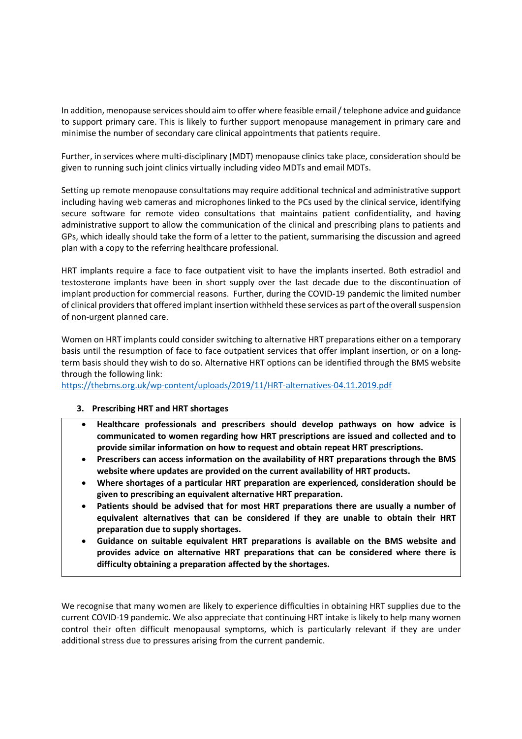In addition, menopause services should aim to offer where feasible email / telephone advice and guidance to support primary care. This is likely to further support menopause management in primary care and minimise the number of secondary care clinical appointments that patients require.

Further, in services where multi-disciplinary (MDT) menopause clinics take place, consideration should be given to running such joint clinics virtually including video MDTs and email MDTs.

Setting up remote menopause consultations may require additional technical and administrative support including having web cameras and microphones linked to the PCs used by the clinical service, identifying secure software for remote video consultations that maintains patient confidentiality, and having administrative support to allow the communication of the clinical and prescribing plans to patients and GPs, which ideally should take the form of a letter to the patient, summarising the discussion and agreed plan with a copy to the referring healthcare professional.

HRT implants require a face to face outpatient visit to have the implants inserted. Both estradiol and testosterone implants have been in short supply over the last decade due to the discontinuation of implant production for commercial reasons. Further, during the COVID-19 pandemic the limited number of clinical providers that offered implant insertion withheld these services as part of the overall suspension of non-urgent planned care.

Women on HRT implants could consider switching to alternative HRT preparations either on a temporary basis until the resumption of face to face outpatient services that offer implant insertion, or on a longterm basis should they wish to do so. Alternative HRT options can be identified through the BMS website through the following link:

https://thebms.org.uk/wp-content/uploads/2019/11/HRT-alternatives-04.11.2019.pdf

## 3. Prescribing HRT and HRT shortages

- Healthcare professionals and prescribers should develop pathways on how advice is communicated to women regarding how HRT prescriptions are issued and collected and to provide similar information on how to request and obtain repeat HRT prescriptions.
- Prescribers can access information on the availability of HRT preparations through the BMS website where updates are provided on the current availability of HRT products.
- Where shortages of a particular HRT preparation are experienced, consideration should be given to prescribing an equivalent alternative HRT preparation.
- Patients should be advised that for most HRT preparations there are usually a number of equivalent alternatives that can be considered if they are unable to obtain their HRT preparation due to supply shortages.
- Guidance on suitable equivalent HRT preparations is available on the BMS website and provides advice on alternative HRT preparations that can be considered where there is difficulty obtaining a preparation affected by the shortages.

We recognise that many women are likely to experience difficulties in obtaining HRT supplies due to the current COVID-19 pandemic. We also appreciate that continuing HRT intake is likely to help many women control their often difficult menopausal symptoms, which is particularly relevant if they are under additional stress due to pressures arising from the current pandemic.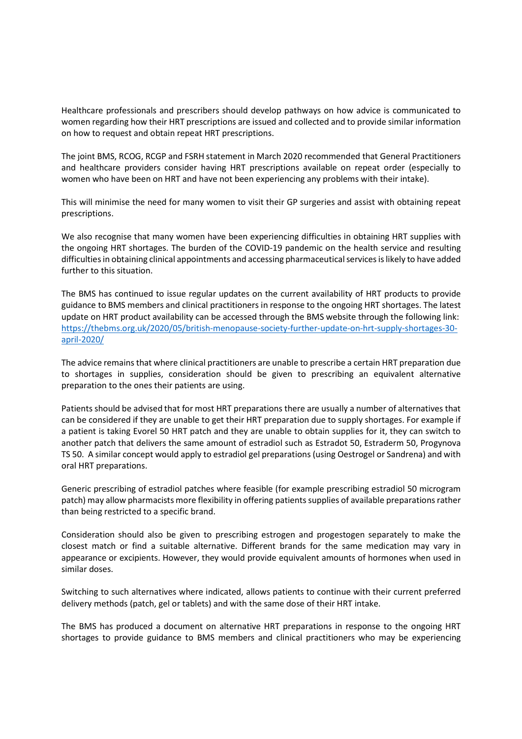Healthcare professionals and prescribers should develop pathways on how advice is communicated to women regarding how their HRT prescriptions are issued and collected and to provide similar information on how to request and obtain repeat HRT prescriptions.

The joint BMS, RCOG, RCGP and FSRH statement in March 2020 recommended that General Practitioners and healthcare providers consider having HRT prescriptions available on repeat order (especially to women who have been on HRT and have not been experiencing any problems with their intake).

This will minimise the need for many women to visit their GP surgeries and assist with obtaining repeat prescriptions.

We also recognise that many women have been experiencing difficulties in obtaining HRT supplies with the ongoing HRT shortages. The burden of the COVID-19 pandemic on the health service and resulting difficulties in obtaining clinical appointments and accessing pharmaceutical services is likely to have added further to this situation.

The BMS has continued to issue regular updates on the current availability of HRT products to provide guidance to BMS members and clinical practitioners in response to the ongoing HRT shortages. The latest update on HRT product availability can be accessed through the BMS website through the following link: https://thebms.org.uk/2020/05/british-menopause-society-further-update-on-hrt-supply-shortages-30 april-2020/

The advice remains that where clinical practitioners are unable to prescribe a certain HRT preparation due to shortages in supplies, consideration should be given to prescribing an equivalent alternative preparation to the ones their patients are using.

Patients should be advised that for most HRT preparations there are usually a number of alternatives that can be considered if they are unable to get their HRT preparation due to supply shortages. For example if a patient is taking Evorel 50 HRT patch and they are unable to obtain supplies for it, they can switch to another patch that delivers the same amount of estradiol such as Estradot 50, Estraderm 50, Progynova TS 50. A similar concept would apply to estradiol gel preparations (using Oestrogel or Sandrena) and with oral HRT preparations.

Generic prescribing of estradiol patches where feasible (for example prescribing estradiol 50 microgram patch) may allow pharmacists more flexibility in offering patients supplies of available preparations rather than being restricted to a specific brand.

Consideration should also be given to prescribing estrogen and progestogen separately to make the closest match or find a suitable alternative. Different brands for the same medication may vary in appearance or excipients. However, they would provide equivalent amounts of hormones when used in similar doses.

Switching to such alternatives where indicated, allows patients to continue with their current preferred delivery methods (patch, gel or tablets) and with the same dose of their HRT intake.

The BMS has produced a document on alternative HRT preparations in response to the ongoing HRT shortages to provide guidance to BMS members and clinical practitioners who may be experiencing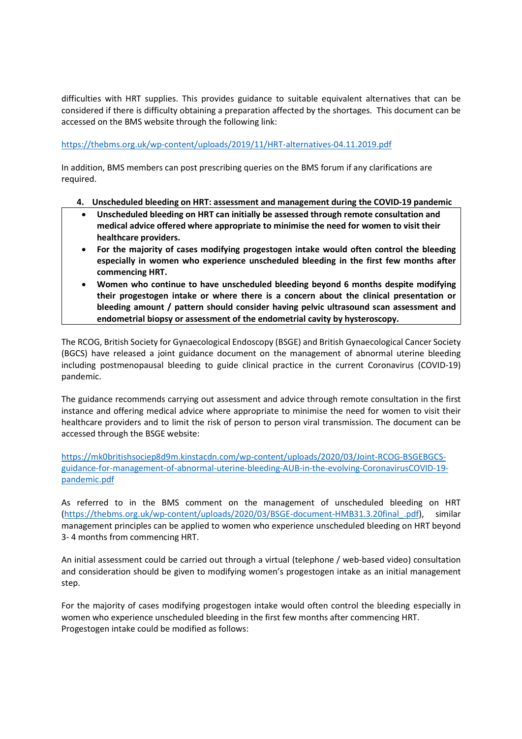difficulties with HRT supplies. This provides guidance to suitable equivalent alternatives that can be considered if there is difficulty obtaining a preparation affected by the shortages. This document can be accessed on the BMS website through the following link:

## https://thebms.org.uk/wp-content/uploads/2019/11/HRT-alternatives-04.11.2019.pdf

In addition, BMS members can post prescribing queries on the BMS forum if any clarifications are required.

## 4. Unscheduled bleeding on HRT: assessment and management during the COVID-19 pandemic

- Unscheduled bleeding on HRT can initially be assessed through remote consultation and medical advice offered where appropriate to minimise the need for women to visit their healthcare providers.
- For the majority of cases modifying progestogen intake would often control the bleeding especially in women who experience unscheduled bleeding in the first few months after commencing HRT.
- Women who continue to have unscheduled bleeding beyond 6 months despite modifying their progestogen intake or where there is a concern about the clinical presentation or bleeding amount / pattern should consider having pelvic ultrasound scan assessment and endometrial biopsy or assessment of the endometrial cavity by hysteroscopy.

The RCOG, British Society for Gynaecological Endoscopy (BSGE) and British Gynaecological Cancer Society (BGCS) have released a joint guidance document on the management of abnormal uterine bleeding including postmenopausal bleeding to guide clinical practice in the current Coronavirus (COVID-19) pandemic.

The guidance recommends carrying out assessment and advice through remote consultation in the first instance and offering medical advice where appropriate to minimise the need for women to visit their healthcare providers and to limit the risk of person to person viral transmission. The document can be accessed through the BSGE website:

https://mk0britishsociep8d9m.kinstacdn.com/wp-content/uploads/2020/03/Joint-RCOG-BSGEBGCSguidance-for-management-of-abnormal-uterine-bleeding-AUB-in-the-evolving-CoronavirusCOVID-19 pandemic.pdf

As referred to in the BMS comment on the management of unscheduled bleeding on HRT (https://thebms.org.uk/wp-content/uploads/2020/03/BSGE-document-HMB31.3.20final\_.pdf), similar management principles can be applied to women who experience unscheduled bleeding on HRT beyond 3- 4 months from commencing HRT.

An initial assessment could be carried out through a virtual (telephone / web-based video) consultation and consideration should be given to modifying women's progestogen intake as an initial management step.

For the majority of cases modifying progestogen intake would often control the bleeding especially in women who experience unscheduled bleeding in the first few months after commencing HRT. Progestogen intake could be modified as follows: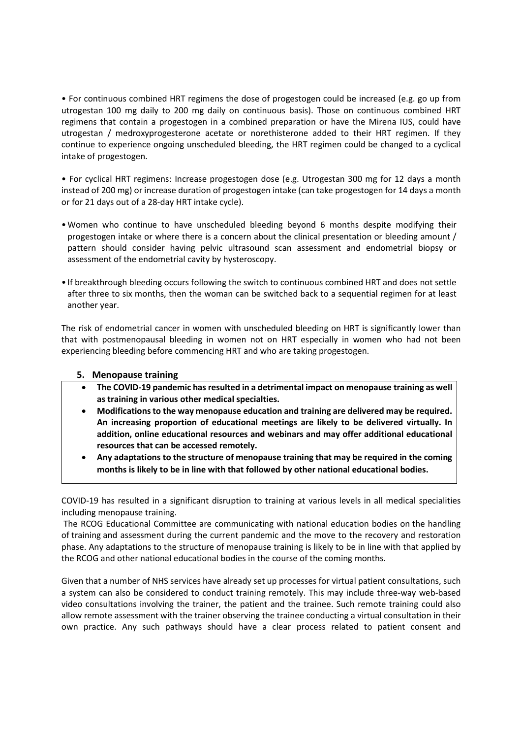• For continuous combined HRT regimens the dose of progestogen could be increased (e.g. go up from utrogestan 100 mg daily to 200 mg daily on continuous basis). Those on continuous combined HRT regimens that contain a progestogen in a combined preparation or have the Mirena IUS, could have utrogestan / medroxyprogesterone acetate or norethisterone added to their HRT regimen. If they continue to experience ongoing unscheduled bleeding, the HRT regimen could be changed to a cyclical intake of progestogen.

• For cyclical HRT regimens: Increase progestogen dose (e.g. Utrogestan 300 mg for 12 days a month instead of 200 mg) or increase duration of progestogen intake (can take progestogen for 14 days a month or for 21 days out of a 28-day HRT intake cycle).

- •Women who continue to have unscheduled bleeding beyond 6 months despite modifying their progestogen intake or where there is a concern about the clinical presentation or bleeding amount / pattern should consider having pelvic ultrasound scan assessment and endometrial biopsy or assessment of the endometrial cavity by hysteroscopy.
- If breakthrough bleeding occurs following the switch to continuous combined HRT and does not settle after three to six months, then the woman can be switched back to a sequential regimen for at least another year.

The risk of endometrial cancer in women with unscheduled bleeding on HRT is significantly lower than that with postmenopausal bleeding in women not on HRT especially in women who had not been experiencing bleeding before commencing HRT and who are taking progestogen.

## 5. Menopause training

- The COVID-19 pandemic has resulted in a detrimental impact on menopause training as well as training in various other medical specialties.
- Modifications to the way menopause education and training are delivered may be required. An increasing proportion of educational meetings are likely to be delivered virtually. In addition, online educational resources and webinars and may offer additional educational resources that can be accessed remotely.
- Any adaptations to the structure of menopause training that may be required in the coming months is likely to be in line with that followed by other national educational bodies.

COVID-19 has resulted in a significant disruption to training at various levels in all medical specialities including menopause training.

 The RCOG Educational Committee are communicating with national education bodies on the handling of training and assessment during the current pandemic and the move to the recovery and restoration phase. Any adaptations to the structure of menopause training is likely to be in line with that applied by the RCOG and other national educational bodies in the course of the coming months.

Given that a number of NHS services have already set up processes for virtual patient consultations, such a system can also be considered to conduct training remotely. This may include three-way web-based video consultations involving the trainer, the patient and the trainee. Such remote training could also allow remote assessment with the trainer observing the trainee conducting a virtual consultation in their own practice. Any such pathways should have a clear process related to patient consent and